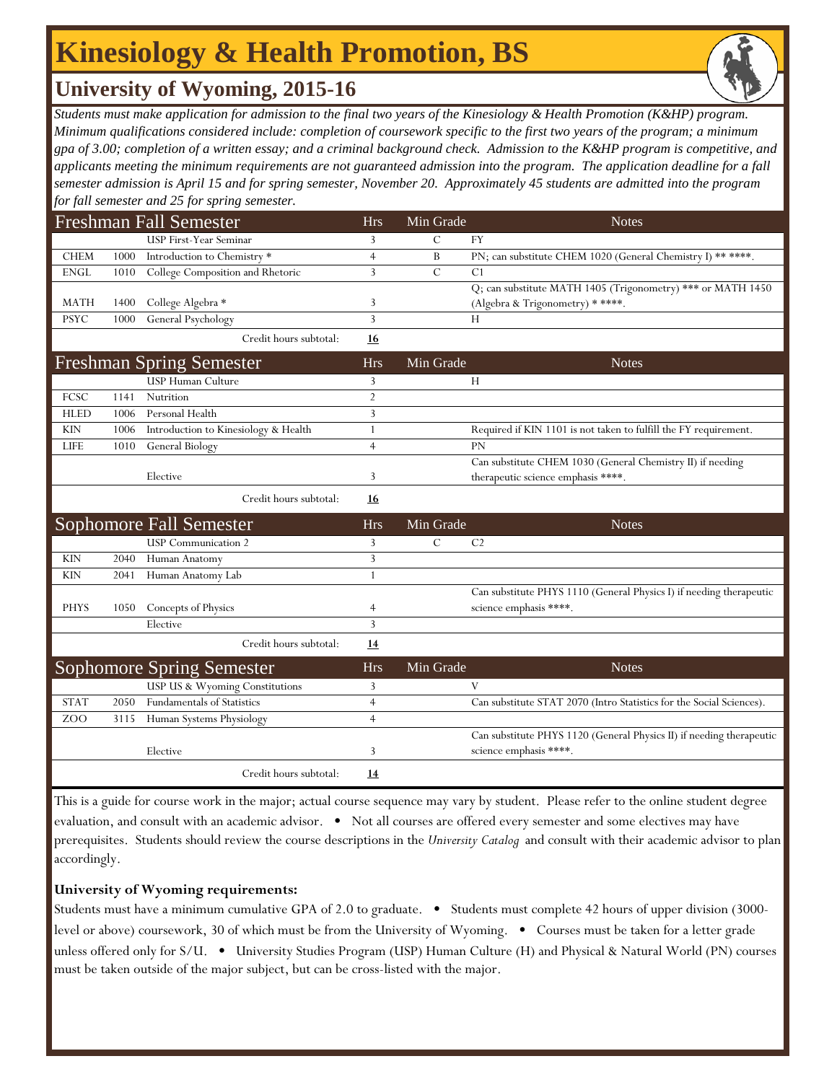## **Kinesiology & Health Promotion, BS**

## **University of Wyoming, 2015-16**

*Students must make application for admission to the final two years of the Kinesiology & Health Promotion (K&HP) program. Minimum qualifications considered include: completion of coursework specific to the first two years of the program; a minimum gpa of 3.00; completion of a written essay; and a criminal background check. Admission to the K&HP program is competitive, and applicants meeting the minimum requirements are not guaranteed admission into the program. The application deadline for a fall semester admission is April 15 and for spring semester, November 20. Approximately 45 students are admitted into the program for fall semester and 25 for spring semester.*

| <b>Freshman Fall Semester</b> |      |                                      |                | Min Grade     | <b>Notes</b>                                                         |
|-------------------------------|------|--------------------------------------|----------------|---------------|----------------------------------------------------------------------|
|                               |      | <b>USP First-Year Seminar</b>        | 3              | $\mathcal{C}$ | <b>FY</b>                                                            |
| <b>CHEM</b>                   | 1000 | Introduction to Chemistry*           | $\overline{4}$ | B             | PN; can substitute CHEM 1020 (General Chemistry I) ** ****.          |
| <b>ENGL</b>                   | 1010 | College Composition and Rhetoric     | 3              | $\mathcal{C}$ | C <sub>1</sub>                                                       |
|                               |      |                                      |                |               | Q; can substitute MATH 1405 (Trigonometry) *** or MATH 1450          |
| <b>MATH</b>                   | 1400 | College Algebra *                    | 3              |               | (Algebra & Trigonometry) * ****.                                     |
| <b>PSYC</b>                   | 1000 | General Psychology                   | 3              |               | Н                                                                    |
|                               |      | Credit hours subtotal:               | <u>16</u>      |               |                                                                      |
|                               |      | <b>Freshman Spring Semester</b>      | <b>Hrs</b>     | Min Grade     | <b>Notes</b>                                                         |
|                               |      | USP Human Culture                    | 3              |               | Н                                                                    |
| FCSC                          | 1141 | Nutrition                            | $\overline{2}$ |               |                                                                      |
| <b>HLED</b>                   | 1006 | Personal Health                      | 3              |               |                                                                      |
| <b>KIN</b>                    | 1006 | Introduction to Kinesiology & Health | 1              |               | Required if KIN 1101 is not taken to fulfill the FY requirement.     |
| <b>LIFE</b>                   | 1010 | General Biology                      | $\overline{4}$ |               | <b>PN</b>                                                            |
|                               |      |                                      |                |               | Can substitute CHEM 1030 (General Chemistry II) if needing           |
|                               |      | Elective                             | 3              |               | therapeutic science emphasis ****.                                   |
|                               |      | Credit hours subtotal:               | <u>16</u>      |               |                                                                      |
|                               |      | <b>Sophomore Fall Semester</b>       | <b>Hrs</b>     | Min Grade     | <b>Notes</b>                                                         |
|                               |      | <b>USP</b> Communication 2           | 3              | $\mathcal{C}$ | C <sub>2</sub>                                                       |
| <b>KIN</b>                    | 2040 | Human Anatomy                        | 3              |               |                                                                      |
| <b>KIN</b>                    | 2041 | Human Anatomy Lab                    | $\mathbf{1}$   |               |                                                                      |
|                               |      |                                      |                |               | Can substitute PHYS 1110 (General Physics I) if needing therapeutic  |
| <b>PHYS</b>                   | 1050 | Concepts of Physics                  | 4              |               | science emphasis ****.                                               |
|                               |      | Elective                             | 3              |               |                                                                      |
|                               |      | Credit hours subtotal:               | <u>14</u>      |               |                                                                      |
|                               |      | <b>Sophomore Spring Semester</b>     | <b>Hrs</b>     | Min Grade     | <b>Notes</b>                                                         |
|                               |      | USP US & Wyoming Constitutions       | 3              |               | V                                                                    |
| <b>STAT</b>                   | 2050 | <b>Fundamentals of Statistics</b>    | $\overline{4}$ |               | Can substitute STAT 2070 (Intro Statistics for the Social Sciences). |
| ZOO                           | 3115 | Human Systems Physiology             | $\overline{4}$ |               |                                                                      |
|                               |      |                                      |                |               | Can substitute PHYS 1120 (General Physics II) if needing therapeutic |
|                               |      | Elective                             | 3              |               | science emphasis ****.                                               |
|                               |      | Credit hours subtotal:               | 14             |               |                                                                      |

This is a guide for course work in the major; actual course sequence may vary by student. Please refer to the online student degree evaluation, and consult with an academic advisor. • Not all courses are offered every semester and some electives may have prerequisites. Students should review the course descriptions in the *University Catalog* and consult with their academic advisor to plan accordingly.

#### **University of Wyoming requirements:**

Students must have a minimum cumulative GPA of 2.0 to graduate. • Students must complete 42 hours of upper division (3000 level or above) coursework, 30 of which must be from the University of Wyoming. • Courses must be taken for a letter grade unless offered only for S/U. • University Studies Program (USP) Human Culture (H) and Physical & Natural World (PN) courses must be taken outside of the major subject, but can be cross-listed with the major.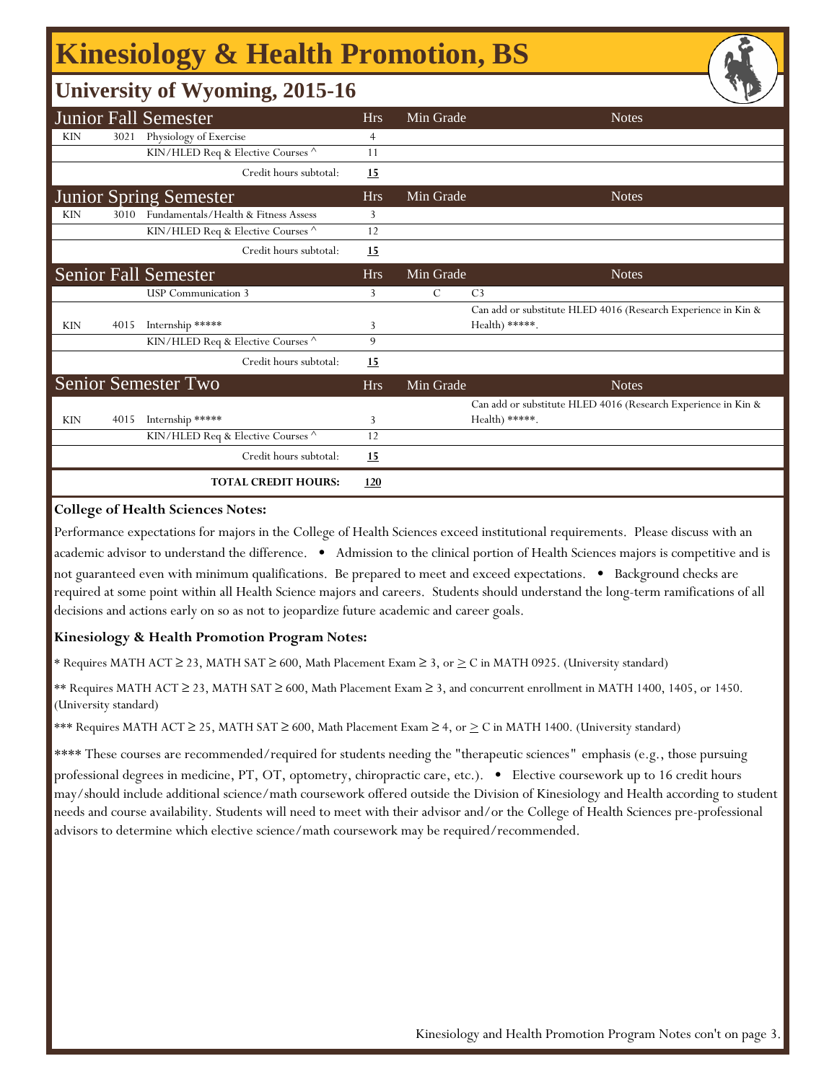# **Kinesiology & Health Promotion, BS**

### **University of Wyoming, 2015-16**

|                               |      | <b>Junior Fall Semester</b>          | <b>Hrs</b>     | Min Grade | <b>Notes</b>                                                                    |
|-------------------------------|------|--------------------------------------|----------------|-----------|---------------------------------------------------------------------------------|
| <b>KIN</b>                    | 3021 | Physiology of Exercise               | $\overline{4}$ |           |                                                                                 |
|                               |      | KIN/HLED Req & Elective Courses ^    | 11             |           |                                                                                 |
|                               |      | Credit hours subtotal:               | <u>15</u>      |           |                                                                                 |
| <b>Junior Spring Semester</b> |      |                                      | <b>Hrs</b>     | Min Grade | <b>Notes</b>                                                                    |
| <b>KIN</b>                    | 3010 | Fundamentals/Health & Fitness Assess | 3              |           |                                                                                 |
|                               |      | KIN/HLED Req & Elective Courses ^    | 12             |           |                                                                                 |
|                               |      | Credit hours subtotal:               | <u>15</u>      |           |                                                                                 |
|                               |      | <b>Senior Fall Semester</b>          | <b>Hrs</b>     | Min Grade | <b>Notes</b>                                                                    |
|                               |      | <b>USP</b> Communication 3           | 3              | C         | C <sub>3</sub>                                                                  |
|                               |      |                                      |                |           | Can add or substitute HLED 4016 (Research Experience in Kin &                   |
| <b>KIN</b>                    | 4015 | Internship *****                     | 3              |           | $Health$ *****.                                                                 |
|                               |      | KIN/HLED Req & Elective Courses ^    | 9              |           |                                                                                 |
|                               |      | Credit hours subtotal:               | <u>15</u>      |           |                                                                                 |
|                               |      | Senior Semester Two                  | <b>Hrs</b>     | Min Grade | <b>Notes</b>                                                                    |
| <b>KIN</b>                    | 4015 | Internship *****                     | 3              |           | Can add or substitute HLED 4016 (Research Experience in Kin &<br>Health) *****. |
|                               |      | KIN/HLED Req & Elective Courses ^    | 12             |           |                                                                                 |
|                               |      | Credit hours subtotal:               | 15             |           |                                                                                 |
|                               |      | <b>TOTAL CREDIT HOURS:</b>           | 120            |           |                                                                                 |

#### **College of Health Sciences Notes:**

Performance expectations for majors in the College of Health Sciences exceed institutional requirements. Please discuss with an academic advisor to understand the difference. • Admission to the clinical portion of Health Sciences majors is competitive and is not guaranteed even with minimum qualifications. Be prepared to meet and exceed expectations. • Background checks are required at some point within all Health Science majors and careers. Students should understand the long-term ramifications of all decisions and actions early on so as not to jeopardize future academic and career goals.

#### **Kinesiology & Health Promotion Program Notes:**

\* Requires MATH ACT ≥ 23, MATH SAT ≥ 600, Math Placement Exam ≥ 3, or > C in MATH 0925. (University standard)

\*\* Requires MATH ACT ≥ 23, MATH SAT ≥ 600, Math Placement Exam ≥ 3, and concurrent enrollment in MATH 1400, 1405, or 1450. (University standard)

\*\*\* Requires MATH ACT ≥ 25, MATH SAT ≥ 600, Math Placement Exam ≥ 4, or  $\geq C$  in MATH 1400. (University standard)

\*\*\*\* These courses are recommended/required for students needing the "therapeutic sciences*"* emphasis (e.g., those pursuing professional degrees in medicine, PT, OT, optometry, chiropractic care, etc.). • Elective coursework up to 16 credit hours may/should include additional science/math coursework offered outside the Division of Kinesiology and Health according to student needs and course availability. Students will need to meet with their advisor and/or the College of Health Sciences pre-professional advisors to determine which elective science/math coursework may be required/recommended.